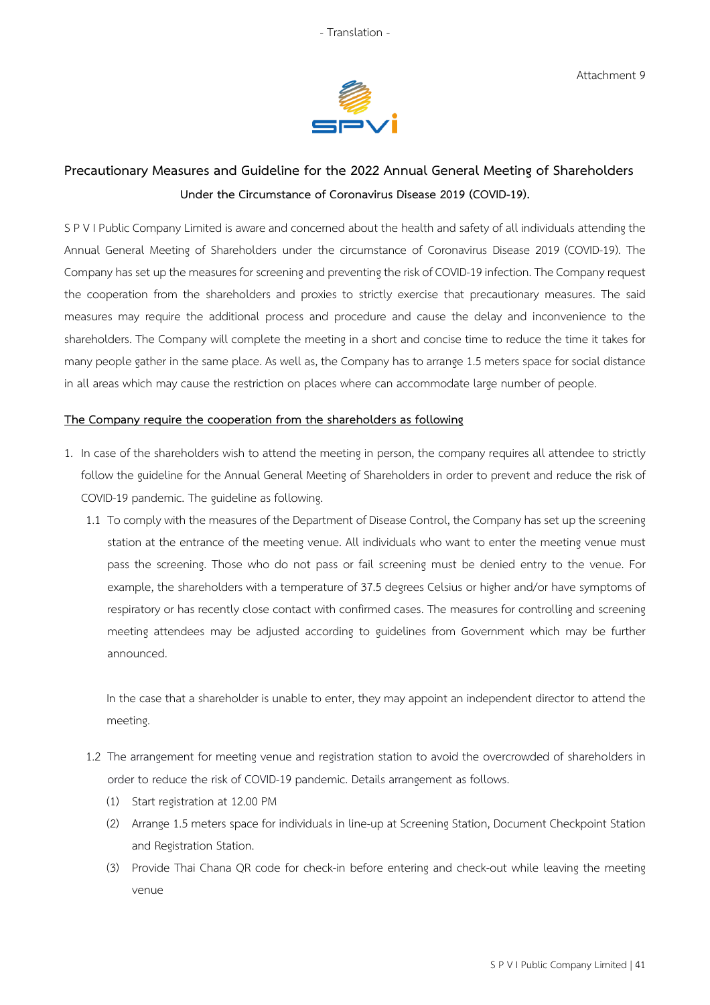

## **Precautionary Measures and Guideline for the 2022 Annual General Meeting of Shareholders Under the Circumstance of Coronavirus Disease 2019 (COVID-19).**

S P V I Public Company Limited is aware and concerned about the health and safety of all individuals attending the Annual General Meeting of Shareholders under the circumstance of Coronavirus Disease 2019 (COVID-19). The Company has set up the measures for screening and preventing the risk of COVID-19 infection. The Company request the cooperation from the shareholders and proxies to strictly exercise that precautionary measures. The said measures may require the additional process and procedure and cause the delay and inconvenience to the shareholders. The Company will complete the meeting in a short and concise time to reduce the time it takes for many people gather in the same place. As well as, the Company has to arrange 1.5 meters space for social distance in all areas which may cause the restriction on places where can accommodate large number of people.

## **The Company require the cooperation from the shareholders as following**

- 1. In case of the shareholders wish to attend the meeting in person, the company requires all attendee to strictly follow the guideline for the Annual General Meeting of Shareholders in order to prevent and reduce the risk of COVID-19 pandemic. The guideline as following.
	- 1.1 To comply with the measures of the Department of Disease Control, the Company has set up the screening station at the entrance of the meeting venue. All individuals who want to enter the meeting venue must pass the screening. Those who do not pass or fail screening must be denied entry to the venue. For example, the shareholders with a temperature of 37.5 degrees Celsius or higher and/or have symptoms of respiratory or has recently close contact with confirmed cases. The measures for controlling and screening meeting attendees may be adjusted according to guidelines from Government which may be further announced.

In the case that a shareholder is unable to enter, they may appoint an independent director to attend the meeting.

- 1.2 The arrangement for meeting venue and registration station to avoid the overcrowded of shareholders in order to reduce the risk of COVID-19 pandemic. Details arrangement as follows.
	- (1) Start registration at 12.00 PM
	- (2) Arrange 1.5 meters space for individuals in line-up at Screening Station, Document Checkpoint Station and Registration Station.
	- (3) Provide Thai Chana QR code for check-in before entering and check-out while leaving the meeting venue